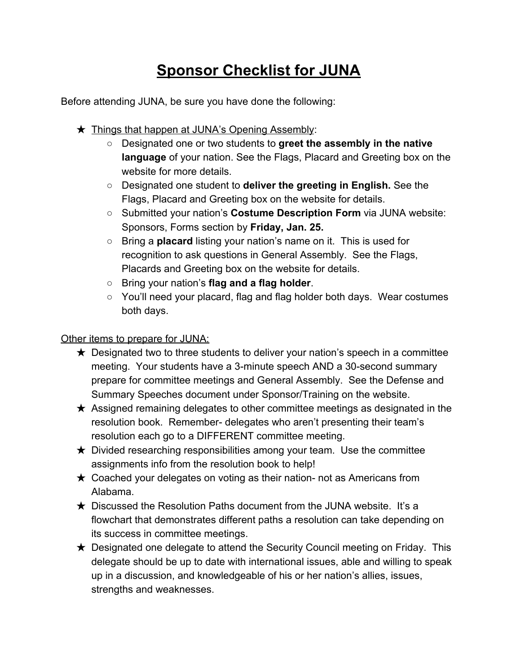## **Sponsor Checklist for JUNA**

Before attending JUNA, be sure you have done the following:

- ★ Things that happen at JUNA's Opening Assembly:
	- Designated one or two students to **greet the assembly in the native language** of your nation. See the Flags, Placard and Greeting box on the website for more details.
	- Designated one student to **deliver the greeting in English.** See the Flags, Placard and Greeting box on the website for details.
	- Submitted your nation's **Costume Description Form** via JUNA website: Sponsors, Forms section by **Friday, Jan. 25.**
	- Bring a **placard** listing your nation's name on it. This is used for recognition to ask questions in General Assembly. See the Flags, Placards and Greeting box on the website for details.
	- Bring your nation's **flag and a flag holder**.
	- You'll need your placard, flag and flag holder both days. Wear costumes both days.

## Other items to prepare for JUNA:

- $\star$  Designated two to three students to deliver your nation's speech in a committee meeting. Your students have a 3-minute speech AND a 30-second summary prepare for committee meetings and General Assembly. See the Defense and Summary Speeches document under Sponsor/Training on the website.
- $\star$  Assigned remaining delegates to other committee meetings as designated in the resolution book. Remember- delegates who aren't presenting their team's resolution each go to a DIFFERENT committee meeting.
- $\star$  Divided researching responsibilities among your team. Use the committee assignments info from the resolution book to help!
- $\star$  Coached your delegates on voting as their nation- not as Americans from Alabama.
- $\star$  Discussed the Resolution Paths document from the JUNA website. It's a flowchart that demonstrates different paths a resolution can take depending on its success in committee meetings.
- $\star$  Designated one delegate to attend the Security Council meeting on Friday. This delegate should be up to date with international issues, able and willing to speak up in a discussion, and knowledgeable of his or her nation's allies, issues, strengths and weaknesses.